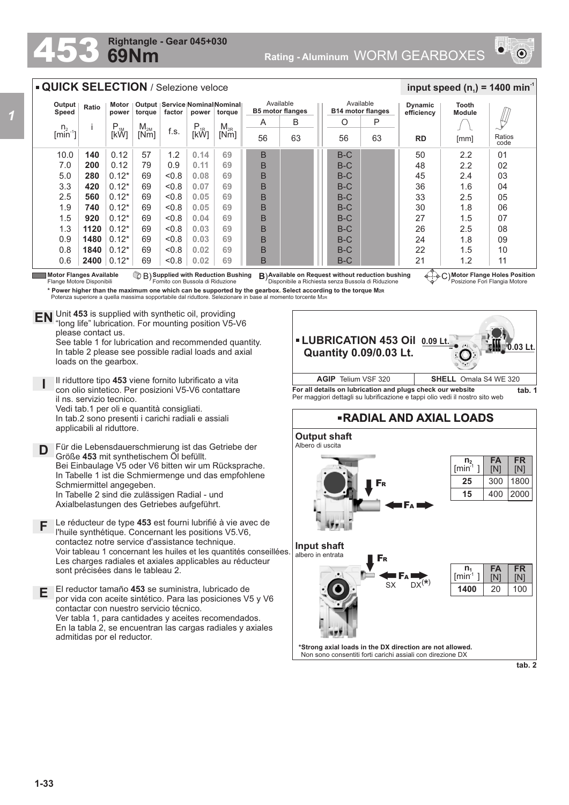## **69Nm Rightangle - Gear 045+030**



## **QUICK SELECTION** / Selezione veloce

| Output<br>Speed          | Ratio | Motor<br>power                    | torque   | factor | power    | Output   Service   Nominal   Nominal  <br>torque |    | Available<br><b>B5 motor flanges</b> | Available<br><b>B14 motor flanges</b> |    | <b>Dynamic</b><br>efficiency | Tooth<br><b>Module</b> |                |
|--------------------------|-------|-----------------------------------|----------|--------|----------|--------------------------------------------------|----|--------------------------------------|---------------------------------------|----|------------------------------|------------------------|----------------|
|                          |       | $\mathsf{P}_{\textsf{\tiny{1M}}}$ | $M_{2M}$ |        | $P_{1R}$ | $M_{2R}$                                         | A  | B                                    | O                                     | P  |                              |                        |                |
| $\frac{n_2}{[min^{-1}]}$ |       | [kW]                              | [Nm]     | f.s.   | [kŴ]     | [Nm]                                             | 56 | 63                                   | 56                                    | 63 | <b>RD</b>                    | [mm]                   | Ratios<br>code |
| 10.0                     | 140   | 0.12                              | 57       | 1.2    | 0.14     | 69                                               | B  |                                      | $B-C$                                 |    | 50                           | 2.2                    | 01             |
| 7.0                      | 200   | 0.12                              | 79       | 0.9    | 0.11     | 69                                               | B  |                                      | $B-C$                                 |    | 48                           | 2.2                    | 02             |
| 5.0                      | 280   | $0.12*$                           | 69       | < 0.8  | 0.08     | 69                                               | B  |                                      | $B-C$                                 |    | 45                           | 2.4                    | 03             |
| 3.3                      | 420   | $0.12*$                           | 69       | < 0.8  | 0.07     | 69                                               | B  |                                      | $B-C$                                 |    | 36                           | 1.6                    | 04             |
| 2.5                      | 560   | $0.12*$                           | 69       | < 0.8  | 0.05     | 69                                               | B  |                                      | $B-C$                                 |    | 33                           | 2.5                    | 05             |
| 1.9                      | 740   | $0.12*$                           | 69       | < 0.8  | 0.05     | 69                                               | B  |                                      | B-C                                   |    | 30                           | 1.8                    | 06             |
| 1.5                      | 920   | $0.12*$                           | 69       | < 0.8  | 0.04     | 69                                               | B  |                                      | $B-C$                                 |    | 27                           | 1.5                    | 07             |
| 1.3                      | 1120  | $0.12*$                           | 69       | < 0.8  | 0.03     | 69                                               | B  |                                      | $B-C$                                 |    | 26                           | 2.5                    | 08             |
| 0.9                      | 1480  | $0.12*$                           | 69       | < 0.8  | 0.03     | 69                                               | B  |                                      | $B-C$                                 |    | 24                           | 1.8                    | 09             |
| 0.8                      | 1840  | $0.12*$                           | 69       | < 0.8  | 0.02     | 69                                               | B  |                                      | $B-C$                                 |    | 22                           | 1.5                    | 10             |
| 0.6                      | 2400  | $0.12*$                           | 69       | < 0.8  | 0.02     | 69                                               | B  |                                      | B-C                                   |    | 21                           | 1.2                    | 11             |

Motor Flanges Available<br>Flange Motore Disponibili

**Available on Request without reduction bushing** Disponibile a Richiesta senza Bussola di Riduzione **Motor Flanges** C) **Available Supplied with Reduction Bushing** Fornito con Bussola di Riduzione B) **B**)

**\* Power higher than the maximum one which can be supported by the gearbox. Select according to the torque M2R**

 $\frac{1}{2}$  **input speed (n**<sub>1</sub>) = 1400 min<sup>-1</sup>

Potenza superiore a quella massima sopportabile dal riduttore. Selezionare in base al momento torcente M2R

Unit **453** is supplied with synthetic oil, providing **EN** Unit 453 is supplied with synthetic oil, providing<br>"long life" lubrication. For mounting position V5-V6 please contact us.

See table 1 for lubrication and recommended quantity. In table 2 please see possible radial loads and axial loads on the gearbox.

**I** Il riduttore tipo **453** viene fornito lubrificato a vita con olio sintetico. Per posizioni V5-V6 contattare il ns. servizio tecnico. Vedi tab.1 per oli e quantità consigliati. In tab.2 sono presenti i carichi radiali e assiali applicabili al riduttore.

**D** Für die Lebensdauerschmierung ist das Getriebe der Größe **453** mit synthetischem Öl befüllt. Bei Einbaulage V5 oder V6 bitten wir um Rücksprache. In Tabelle 1 ist die Schmiermenge und das empfohlene Schmiermittel angegeben. In Tabelle 2 sind die zulässigen Radial - und

Axialbelastungen des Getriebes aufgeführt.

- **F** Le réducteur de type **453** est fourni lubrifié à vie avec de l'huile synthétique. Concernant les positions V5.V6, contactez notre service d'assistance technique. Voir tableau 1 concernant les huiles et les quantités conseillées. Les charges radiales et axiales applicables au réducteur sont précisées dans le tableau 2.
- **E** El reductor tamaño **453** se suministra, lubricado de por vida con aceite sintético. Para las posiciones V5 y V6 contactar con nuestro servicio técnico. Ver tabla 1, para cantidades y aceites recomendados. En la tabla 2, se encuentran las cargas radiales y axiales admitidas por el reductor.



Per maggiori dettagli su lubrificazione e tappi olio vedi il nostro sito web



**Motor Flange Holes Position** Posizione Fori Flangia Motore